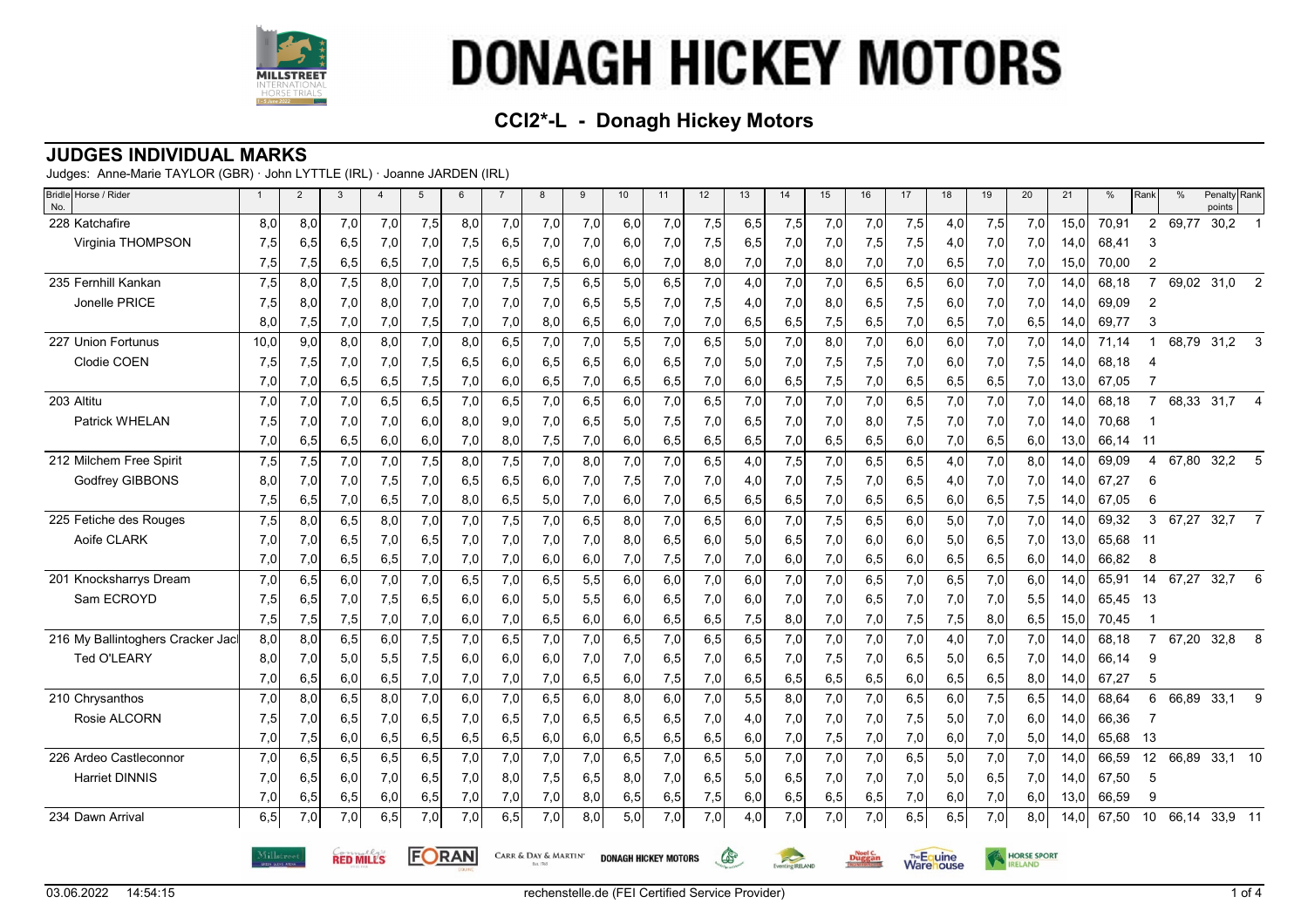

## **CCI2\*-L - Donagh Hickey Motors**

#### **JUDGES INDIVIDUAL MARKS**

Judges: Anne-Marie TAYLOR (GBR) · John LYTTLE (IRL) · Joanne JARDEN (IRL)

| Bridle Horse / Rider<br>No.      | $\overline{1}$ | 2   | 3                | $\overline{4}$ | $5\overline{5}$ | 6   | $\overline{7}$ | 8                    | 9   | 10  | 11                          | 12  | 13   | 14                                   | 15  | 16            | 17  | 18                             | 19  | 20                 | 21   | %     | Rank                     | $\%$  | Penalty Rank<br>points |                |
|----------------------------------|----------------|-----|------------------|----------------|-----------------|-----|----------------|----------------------|-----|-----|-----------------------------|-----|------|--------------------------------------|-----|---------------|-----|--------------------------------|-----|--------------------|------|-------|--------------------------|-------|------------------------|----------------|
| 228 Katchafire                   | 8,0            | 8,0 | 7,0              | 7,0            | 7,5             | 8,0 | 7,0            | 7,0                  | 7,0 | 6,0 | 7,0                         | 7,5 | 6,5  | 7,5                                  | 7,0 | 7,0           | 7,5 | 4,0                            | 7,5 | 7,0                | 15,0 | 70,91 | $\overline{2}$           | 69,77 | 30,2                   |                |
| Virginia THOMPSON                | 7,5            | 6,5 | 6,5              | 7,0            | 7,0             | 7,5 | 6,5            | 7,0                  | 7,0 | 6,0 | 7,0                         | 7,5 | 6,5  | 7,0                                  | 7,0 | 7,5           | 7,5 | 4,0                            | 7,0 | 7,0                | 14,0 | 68,41 | 3                        |       |                        |                |
|                                  | 7,5            | 7,5 | 6,5              | 6,5            | 7,0             | 7,5 | 6,5            | 6,5                  | 6,0 | 6,0 | 7,0                         | 8,0 | 7,0  | 7,0                                  | 8,0 | 7,0           | 7,0 | 6,5                            | 7,0 | 7,0                | 15,0 | 70,00 | $\overline{2}$           |       |                        |                |
| 235 Fernhill Kankan              | 7,5            | 8,0 | 7,5              | 8,0            | 7,0             | 7,0 | 7,5            | 7,5                  | 6,5 | 5,0 | 6, 5                        | 7,0 | 4,0  | 7,0                                  | 7,0 | 6, 5          | 6,5 | 6,0                            | 7,0 | 7,0                | 14,0 | 68,18 | $\overline{7}$           | 69,02 | 31,0                   | 2              |
| Jonelle PRICE                    | 7,5            | 8,0 | 7,0              | 8,0            | 7,0             | 7,0 | 7,0            | 7,0                  | 6,5 | 5,5 | 7,0                         | 7,5 | 4,0  | 7,0                                  | 8,0 | 6,5           | 7,5 | 6,0                            | 7,0 | 7,0                | 14,0 | 69,09 | 2                        |       |                        |                |
|                                  | 8,0            | 7,5 | 7,0              | 7,0            | 7,5             | 7,0 | 7,0            | 8,0                  | 6,5 | 6,0 | 7,0                         | 7,0 | 6,5  | 6,5                                  | 7,5 | 6,5           | 7,0 | 6,5                            | 7,0 | 6,5                | 14,0 | 69,77 | 3                        |       |                        |                |
| 227 Union Fortunus               | 10,0           | 9,0 | 8,0              | 8,0            | 7,0             | 8,0 | 6,5            | 7,0                  | 7,0 | 5,5 | 7,0                         | 6,5 | 5,0  | 7,0                                  | 8,0 | 7,0           | 6,0 | 6,0                            | 7,0 | 7,0                | 14,0 | 71,14 | -1                       | 68,79 | 31,2                   | 3              |
| Clodie COEN                      | 7,5            | 7,5 | 7,0              | 7,0            | 7,5             | 6,5 | 6,0            | 6,5                  | 6,5 | 6,0 | 6,5                         | 7,0 | 5,0  | 7,0                                  | 7,5 | 7,5           | 7,0 | 6,0                            | 7,0 | 7,5                | 14,0 | 68,18 |                          |       |                        |                |
|                                  | 7,0            | 7,0 | 6,5              | 6,5            | 7,5             | 7,0 | 6,0            | 6,5                  | 7,0 | 6,5 | 6,5                         | 7,0 | 6,0  | 6,5                                  | 7,5 | 7,0           | 6,5 | 6,5                            | 6,5 | 7,0                | 13,0 | 67.05 |                          |       |                        |                |
| 203 Altitu                       | 7,0            | 7,0 | 7,0              | 6,5            | 6,5             | 7,0 | 6,5            | 7,0                  | 6,5 | 6,0 | 7,0                         | 6,5 | 7,0  | 7,0                                  | 7,0 | 7,0           | 6,5 | 7,0                            | 7,0 | 7,0                | 14.0 | 68,18 | $\overline{7}$           |       | 68,33 31,7 4           |                |
| Patrick WHELAN                   | 7,5            | 7,0 | 7,0              | 7,0            | 6,0             | 8,0 | 9,0            | 7,0                  | 6,5 | 5,0 | 7,5                         | 7,0 | 6,5  | 7,0                                  | 7,0 | 8,0           | 7,5 | 7,0                            | 7,0 | 7,0                | 14,0 | 70,68 |                          |       |                        |                |
|                                  | 7,0            | 6,5 | 6,5              | 6,0            | 6,0             | 7,0 | 8,0            | 7,5                  | 7,0 | 6,0 | 6,5                         | 6,5 | 6,5  | 7,0                                  | 6,5 | 6,5           | 6,0 | 7,0                            | 6,5 | 6,0                | 13,0 | 66.14 | - 11                     |       |                        |                |
| 212 Milchem Free Spirit          | 7,5            | 7,5 | 7,0              | 7,0            | 7,5             | 8.0 | 7,5            | 7,0                  | 8,0 | 7,0 | 7,0                         | 6,5 | 4,0  | 7,5                                  | 7,0 | 6,5           | 6,5 | 4,0                            | 7,0 | 8,0                | 14.0 | 69,09 | $\overline{\mathcal{A}}$ | 67,80 | 32,2                   | 5              |
| Godfrey GIBBONS                  | 8,0            | 7,0 | 7,0              | 7,5            | 7,0             | 6,5 | 6,5            | 6,0                  | 7,0 | 7,5 | 7,0                         | 7,0 | 4,0  | 7,0                                  | 7,5 | 7,0           | 6,5 | 4,0                            | 7,0 | 7,0                | 14,0 | 67,27 | 6                        |       |                        |                |
|                                  | 7,5            | 6,5 | 7,0              | 6,5            | 7,0             | 8,0 | 6,5            | 5,0                  | 7,0 | 6,0 | 7,0                         | 6,5 | 6,5  | 6,5                                  | 7,0 | 6,5           | 6,5 | 6,0                            | 6,5 | 7,5                | 14.0 | 67.05 | 6                        |       |                        |                |
| 225 Fetiche des Rouges           | 7,5            | 8,0 | 6,5              | 8,0            | 7,0             | 7,0 | 7,5            | 7,0                  | 6,5 | 8,0 | 7,0                         | 6,5 | 6,0  | 7,0                                  | 7,5 | 6,5           | 6,0 | 5,0                            | 7,0 | 7,0                | 14.0 | 69,32 | 3                        | 67,27 | 32,7                   | $\overline{7}$ |
| Aoife CLARK                      | 7,0            | 7,0 | 6,5              | 7,0            | 6,5             | 7,0 | 7,0            | 7,0                  | 7,0 | 8,0 | 6,5                         | 6,0 | 5,0  | 6,5                                  | 7,0 | 6,0           | 6,0 | 5,0                            | 6,5 | 7,0                | 13.0 | 65,68 | - 11                     |       |                        |                |
|                                  | 7,0            | 7,0 | 6,5              | 6,5            | 7,0             | 7,0 | 7,0            | 6,0                  | 6,0 | 7,0 | 7,5                         | 7,0 | 7,0  | 6,0                                  | 7,0 | 6,5           | 6,0 | 6,5                            | 6,5 | 6,0                | 14.0 | 66,82 | 8                        |       |                        |                |
| 201 Knocksharrys Dream           | 7,0            | 6,5 | 6,0              | 7,0            | 7,0             | 6.5 | 7,0            | 6,5                  | 5,5 | 6,0 | 6,0                         | 7,0 | 6,0  | 7,0                                  | 7,0 | 6, 5          | 7,0 | 6,5                            | 7,0 | 6,0                | 14.0 | 65.91 | 14                       | 67,27 | 32,7                   | 6              |
| Sam ECROYD                       | 7,5            | 6,5 | 7,0              | 7,5            | 6,5             | 6,0 | 6,0            | 5,0                  | 5,5 | 6,0 | 6,5                         | 7,0 | 6,0  | 7,0                                  | 7,0 | 6,5           | 7,0 | 7,0                            | 7,0 | 5,5                | 14,0 | 65,45 | 13                       |       |                        |                |
|                                  | 7,5            | 7,5 | 7,5              | 7,0            | 7,0             | 6,0 | 7,0            | 6,5                  | 6,0 | 6,0 | 6,5                         | 6,5 | 7,5  | 8,0                                  | 7,0 | 7,0           | 7,5 | 7,5                            | 8,0 | 6,5                | 15,0 | 70,45 |                          |       |                        |                |
| 216 My Ballintoghers Cracker Jac | 8,0            | 8,0 | 6, 5             | 6.0            | 7,5             | 7,0 | 6,5            | 7,0                  | 7,0 | 6,5 | 7,0                         | 6.5 | 6, 5 | 7,0                                  | 7,0 | 7,0           | 7,0 | 4,0                            | 7,0 | 7,0                | 14,0 | 68.18 | $\overline{7}$           | 67,20 | 32,8                   | 8              |
| Ted O'LEARY                      | 8,0            | 7,0 | 5,0              | 5,5            | 7,5             | 6,0 | 6,0            | 6,0                  | 7,0 | 7,0 | 6,5                         | 7,0 | 6,5  | 7,0                                  | 7,5 | 7,0           | 6,5 | 5,0                            | 6,5 | 7,0                | 14,0 | 66,14 | 9                        |       |                        |                |
|                                  | 7,0            | 6,5 | 6,0              | 6,5            | 7,0             | 7,0 | 7,0            | 7,0                  | 6,5 | 6,0 | 7,5                         | 7,0 | 6,5  | 6,5                                  | 6,5 | 6,5           | 6,0 | 6,5                            | 6,5 | 8,0                | 14,0 | 67,27 | 5                        |       |                        |                |
| 210 Chrysanthos                  | 7,0            | 8,0 | 6.5              | 8.0            | 7,0             | 6,0 | 7,0            | 6,5                  | 6,0 | 8,0 | 6,0                         | 7,0 | 5,5  | 8.0                                  | 7,0 | 7,0           | 6,5 | 6,0                            | 7,5 | 6,5                | 14.0 | 68,64 | 6                        | 66,89 | 33,1                   | 9              |
| Rosie ALCORN                     | 7,5            | 7,0 | 6,5              | 7,0            | 6,5             | 7,0 | 6,5            | 7,0                  | 6,5 | 6,5 | 6,5                         | 7,0 | 4,0  | 7,0                                  | 7,0 | 7,0           | 7,5 | 5,0                            | 7,0 | 6,0                | 14,0 | 66,36 | 7                        |       |                        |                |
|                                  | 7,0            | 7,5 | 6,0              | 6,5            | 6,5             | 6,5 | 6,5            | 6,0                  | 6,0 | 6,5 | 6,5                         | 6,5 | 6,0  | 7,0                                  | 7,5 | 7,0           | 7,0 | 6,0                            | 7,0 | 5,0                | 14,0 | 65,68 | 13                       |       |                        |                |
| 226 Ardeo Castleconnor           | 7,0            | 6,5 | 6,5              | 6, 5           | 6,5             | 7,0 | 7,0            | 7,0                  | 7,0 | 6,5 | 7,0                         | 6,5 | 5,0  | 7,0                                  | 7,0 | 7,0           | 6,5 | 5,0                            | 7,0 | 7,0                | 14.0 | 66,59 | 12                       | 66,89 | 33,1 10                |                |
| <b>Harriet DINNIS</b>            | 7,0            | 6,5 | 6,0              | 7,0            | 6,5             | 7,0 | 8,0            | 7,5                  | 6,5 | 8,0 | 7,0                         | 6,5 | 5,0  | 6,5                                  | 7,0 | 7,0           | 7,0 | 5,0                            | 6,5 | 7,0                | 14.0 | 67,50 | 5                        |       |                        |                |
|                                  | 7,0            | 6,5 | 6,5              | 6,0            | 6,5             | 7,0 | 7,0            | 7,0                  | 8,0 | 6,5 | 6,5                         | 7,5 | 6,0  | 6,5                                  | 6,5 | 6,5           | 7,0 | 6,0                            | 7,0 | 6,0                | 13,0 | 66,59 | 9                        |       |                        |                |
| 234 Dawn Arrival                 | 6,5            | 7,0 | 7,0              | 6, 5           | 7,0             | 7,0 | 6,5            | 7,0                  | 8,0 | 5,0 | 7,0                         | 7,0 | 4,0  | 7,0                                  | 7,0 | 7,0           | 6,5 | 6,5                            | 7,0 | 8,0                | 14,0 | 67,50 | 10                       |       | 66,14 33,9 11          |                |
|                                  | Millstree      |     | <b>RED MILLS</b> |                | FORAN           |     |                | CARR & DAY & MARTIN' |     |     | <b>DONAGH HICKEY MOTORS</b> |     | డి   | $\approx$<br><b>Sventing IRELAND</b> |     | <b>Duggan</b> |     | The Equine<br><b>Ware</b> ouse |     | <b>HORSE SPORT</b> |      |       |                          |       |                        |                |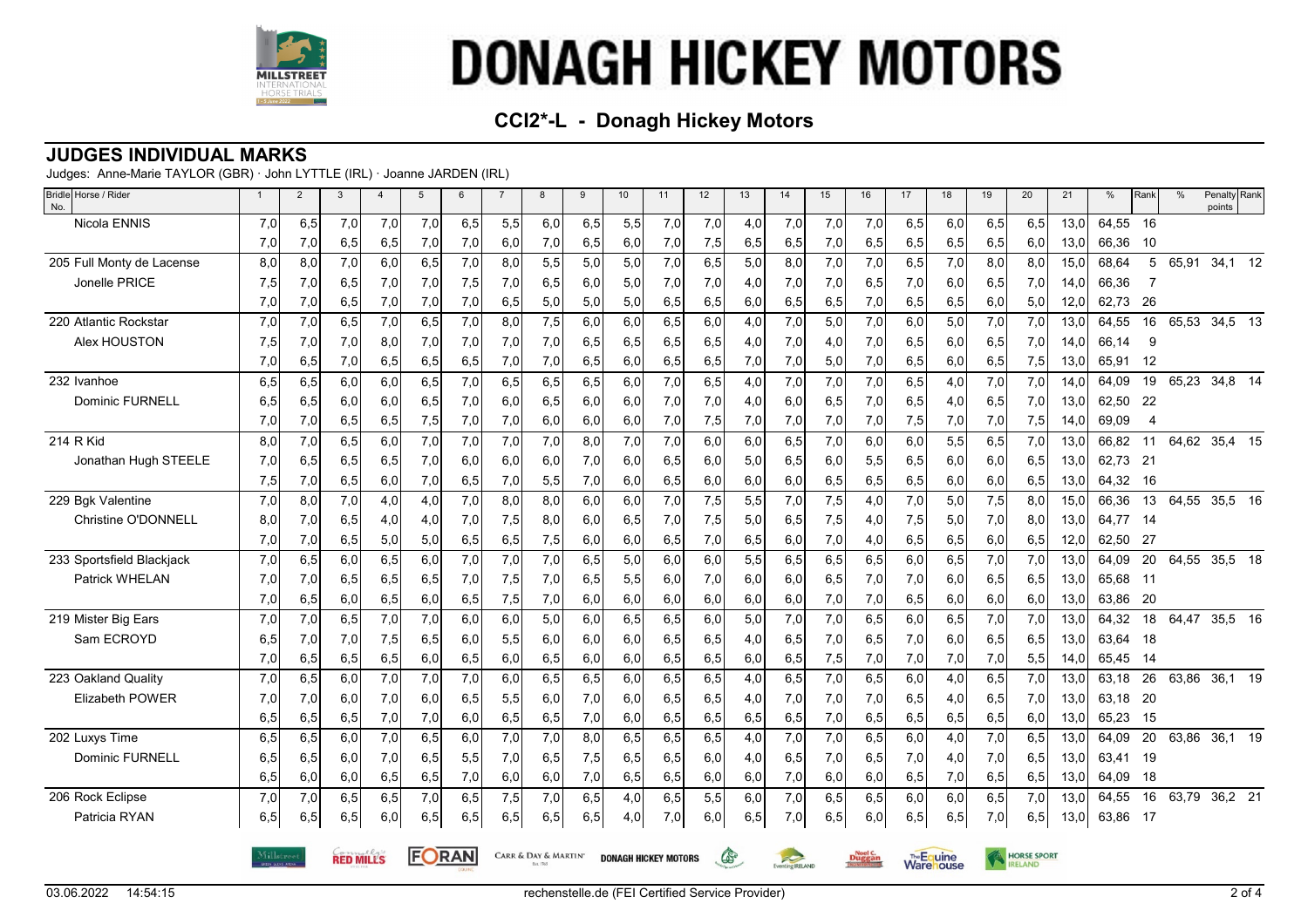

## **CCI2\*-L - Donagh Hickey Motors**

#### **JUDGES INDIVIDUAL MARKS**

Judges: Anne-Marie TAYLOR (GBR) · John LYTTLE (IRL) · Joanne JARDEN (IRL)

| Bridle Horse / Rider<br>No. | $\mathbf{1}$ | $\overline{2}$ | 3                | $\overline{4}$ | 5     | 6   | $\overline{7}$ | 8                    | 9   | 10  | 11                          | 12  | 13  | 14              | 15  | 16            | 17  | 18                      | 19  | 20                 | 21   | %     | Rank           | %     | Penalty Rank<br>points |
|-----------------------------|--------------|----------------|------------------|----------------|-------|-----|----------------|----------------------|-----|-----|-----------------------------|-----|-----|-----------------|-----|---------------|-----|-------------------------|-----|--------------------|------|-------|----------------|-------|------------------------|
| Nicola ENNIS                | 7,0          | 6,5            | 7,0              | 7,0            | 7,0   | 6,5 | 5,5            | 6,0                  | 6,5 | 5,5 | 7,0                         | 7,0 | 4,0 | 7,0             | 7,0 | 7,0           | 6,5 | 6,0                     | 6,5 | 6,5                | 13.0 | 64,55 | 16             |       |                        |
|                             | 7,0          | 7,0            | 6,5              | 6,5            | 7,0   | 7,0 | 6,0            | 7,0                  | 6,5 | 6,0 | 7,0                         | 7,5 | 6,5 | 6,5             | 7,0 | 6,5           | 6,5 | 6,5                     | 6,5 | 6,0                | 13,0 | 66,36 | 10             |       |                        |
| 205 Full Monty de Lacense   | 8.0          | 8,0            | 7,0              | 6,0            | 6,5   | 7,0 | 8,0            | 5,5                  | 5,0 | 5,0 | 7,0                         | 6.5 | 5,0 | 8,0             | 7,0 | 7,0           | 6,5 | 7,0                     | 8,0 | 8,0                | 15,0 | 68,64 | 5              | 65,91 | $34,1 \overline{12}$   |
| Jonelle PRICE               | 7,5          | 7,0            | 6,5              | 7,0            | 7,0   | 7,5 | 7,0            | 6,5                  | 6,0 | 5,0 | 7,0                         | 7,0 | 4,0 | 7,0             | 7,0 | 6,5           | 7,0 | 6,0                     | 6,5 | 7,0                | 14,0 | 66,36 |                |       |                        |
|                             | 7,0          | 7,0            | 6,5              | 7,0            | 7,0   | 7,0 | 6,5            | 5,0                  | 5,0 | 5,0 | 6,5                         | 6,5 | 6,0 | 6,5             | 6,5 | 7,0           | 6,5 | 6,5                     | 6,0 | 5,0                | 12,0 | 62,73 | 26             |       |                        |
| 220 Atlantic Rockstar       | 7,0          | 7,0            | 6,5              | 7,0            | 6,5   | 7,0 | 8,0            | 7,5                  | 6,0 | 6,0 | 6,5                         | 6.0 | 4,0 | 7,0             | 5,0 | 7,0           | 6,0 | 5,0                     | 7,0 | 7,0                | 13,0 | 64,55 | 16             | 65,53 | $34,5$ 13              |
| Alex HOUSTON                | 7,5          | 7,0            | 7,0              | 8,0            | 7,0   | 7,0 | 7,0            | 7,0                  | 6,5 | 6,5 | 6,5                         | 6,5 | 4,0 | 7,0             | 4,0 | 7,0           | 6,5 | 6,0                     | 6,5 | 7,0                | 14.0 | 66,14 | 9              |       |                        |
|                             | 7,0          | 6,5            | 7,0              | 6,5            | 6,5   | 6,5 | 7,0            | 7,0                  | 6,5 | 6,0 | 6,5                         | 6,5 | 7,0 | 7,0             | 5,0 | 7,0           | 6,5 | 6,0                     | 6,5 | 7,5                | 13,0 | 65,91 | 12             |       |                        |
| 232 Ivanhoe                 | 6.5          | 6,5            | 6.0              | 6,0            | 6,5   | 7,0 | 6,5            | 6,5                  | 6,5 | 6,0 | 7,0                         | 6,5 | 4,0 | 7,0             | 7,0 | 7,0           | 6,5 | 4,0                     | 7,0 | 7,0                | 14.0 | 64,09 | 19             |       | 65,23 34,8 14          |
| <b>Dominic FURNELL</b>      | 6,5          | 6,5            | 6,0              | 6,0            | 6,5   | 7,0 | 6,0            | 6,5                  | 6,0 | 6,0 | 7,0                         | 7,0 | 4,0 | 6,0             | 6,5 | 7,0           | 6,5 | 4,0                     | 6,5 | 7,0                | 13,0 | 62,50 | -22            |       |                        |
|                             | 7,0          | 7,0            | 6,5              | 6,5            | 7,5   | 7,0 | 7,0            | 6,0                  | 6,0 | 6,0 | 7,0                         | 7,5 | 7,0 | 7,0             | 7,0 | 7,0           | 7,5 | 7,0                     | 7,0 | 7,5                | 14,0 | 69,09 | $\overline{4}$ |       |                        |
| 214 R Kid                   | 8,0          | 7,0            | 6, 5             | 6,0            | 7,0   | 7,0 | 7,0            | 7,0                  | 8,0 | 7,0 | 7,0                         | 6,0 | 6,0 | 6,5             | 7,0 | 6,0           | 6,0 | 5,5                     | 6,5 | 7,0                | 13,0 | 66,82 | 11             |       | 64,62 35,4 15          |
| Jonathan Hugh STEELE        | 7,0          | 6,5            | 6,5              | 6,5            | 7,0   | 6,0 | 6,0            | 6,0                  | 7,0 | 6,0 | 6,5                         | 6,0 | 5,0 | 6,5             | 6,0 | 5,5           | 6,5 | 6,0                     | 6,0 | 6,5                | 13,0 | 62,73 | 21             |       |                        |
|                             | 7,5          | 7,0            | 6,5              | 6,0            | 7,0   | 6,5 | 7,0            | 5,5                  | 7,0 | 6,0 | 6,5                         | 6,0 | 6,0 | 6,0             | 6,5 | 6,5           | 6,5 | 6,0                     | 6,0 | 6,5                | 13,0 | 64,32 | 16             |       |                        |
| 229 Bqk Valentine           | 7,0          | 8,0            | 7,0              | 4,0            | 4,0   | 7,0 | 8,0            | 8,0                  | 6,0 | 6,0 | 7,0                         | 7,5 | 5,5 | 7,0             | 7,5 | 4,0           | 7,0 | 5,0                     | 7,5 | 8,0                | 15,0 | 66,36 | 13             |       | 64,55 35,5 16          |
| Christine O'DONNELL         | 8,0          | 7,0            | 6,5              | 4,0            | 4,0   | 7,0 | 7,5            | 8,0                  | 6,0 | 6,5 | 7,0                         | 7,5 | 5,0 | 6,5             | 7,5 | 4,0           | 7,5 | 5,0                     | 7,0 | 8,0                | 13,0 | 64,77 | - 14           |       |                        |
|                             | 7,0          | 7,0            | 6,5              | 5,0            | 5,0   | 6,5 | 6,5            | 7,5                  | 6,0 | 6,0 | 6,5                         | 7,0 | 6,5 | 6,0             | 7,0 | 4,0           | 6,5 | 6,5                     | 6,0 | 6,5                | 12,0 | 62,50 | 27             |       |                        |
| 233 Sportsfield Blackjack   | 7,0          | 6,5            | 6,0              | 6,5            | 6,0   | 7,0 | 7,0            | 7,0                  | 6,5 | 5,0 | 6,0                         | 6,0 | 5,5 | 6,5             | 6,5 | 6,5           | 6,0 | 6,5                     | 7,0 | 7,0                | 13,0 | 64,09 | 20             |       | 64,55 35,5 18          |
| <b>Patrick WHELAN</b>       | 7,0          | 7,0            | 6,5              | 6,5            | 6,5   | 7,0 | 7,5            | 7,0                  | 6,5 | 5,5 | 6,0                         | 7.0 | 6,0 | 6,0             | 6,5 | 7,0           | 7,0 | 6,0                     | 6,5 | 6,5                | 13.0 | 65,68 | $-11$          |       |                        |
|                             | 7,0          | 6,5            | 6,0              | 6,5            | 6,0   | 6,5 | 7,5            | 7,0                  | 6,0 | 6,0 | 6,0                         | 6,0 | 6,0 | 6,0             | 7,0 | 7,0           | 6,5 | 6,0                     | 6,0 | 6,0                | 13,0 | 63,86 | -20            |       |                        |
| 219 Mister Big Ears         | 7,0          | 7,0            | 6, 5             | 7,0            | 7,0   | 6,0 | 6,0            | 5,0                  | 6,0 | 6,5 | 6,5                         | 6,0 | 5,0 | 7,0             | 7,0 | 6,5           | 6,0 | 6,5                     | 7,0 | 7,0                | 13.0 | 64,32 | 18             |       | 64,47 35,5 16          |
| Sam ECROYD                  | 6,5          | 7,0            | 7,0              | 7,5            | 6,5   | 6,0 | 5,5            | 6,0                  | 6,0 | 6,0 | 6,5                         | 6,5 | 4,0 | 6,5             | 7,0 | 6,5           | 7,0 | 6,0                     | 6,5 | 6,5                | 13,0 | 63,64 | 18             |       |                        |
|                             | 7,0          | 6,5            | 6,5              | 6,5            | 6,0   | 6,5 | 6,0            | 6,5                  | 6,0 | 6,0 | 6,5                         | 6,5 | 6,0 | 6,5             | 7,5 | 7,0           | 7,0 | 7,0                     | 7,0 | 5,5                | 14,0 | 65,45 | -14            |       |                        |
| 223 Oakland Quality         | 7,0          | 6,5            | 6,0              | 7,0            | 7,0   | 7,0 | 6,0            | 6, 5                 | 6,5 | 6,0 | 6, 5                        | 6,5 | 4,0 | 6,5             | 7,0 | 6,5           | 6,0 | 4,0                     | 6,5 | 7,0                | 13,0 | 63,18 | 26             | 63,86 | 36,1 19                |
| <b>Elizabeth POWER</b>      | 7,0          | 7,0            | 6,0              | 7,0            | 6,0   | 6,5 | 5,5            | 6,0                  | 7,0 | 6,0 | 6,5                         | 6,5 | 4,0 | 7,0             | 7,0 | 7,0           | 6,5 | 4,0                     | 6,5 | 7,0                | 13,0 | 63,18 | -20            |       |                        |
|                             | 6,5          | 6,5            | 6,5              | 7,0            | 7,0   | 6,0 | 6,5            | 6,5                  | 7,0 | 6,0 | 6,5                         | 6,5 | 6,5 | 6,5             | 7,0 | 6,5           | 6,5 | 6,5                     | 6,5 | 6,0                | 13,0 | 65,23 | 15             |       |                        |
| 202 Luxys Time              | 6.5          | 6,5            | 6.0              | 7.0            | 6,5   | 6,0 | 7,0            | 7.0                  | 8,0 | 6.5 | 6,5                         | 6,5 | 4,0 | 7,0             | 7,0 | 6,5           | 6,0 | 4,0                     | 7,0 | 6,5                | 13.0 | 64,09 | 20             | 63,86 | $36,1$ 19              |
| Dominic FURNELL             | 6,5          | 6,5            | 6,0              | 7,0            | 6,5   | 5,5 | 7,0            | 6,5                  | 7,5 | 6,5 | 6,5                         | 6,0 | 4,0 | 6,5             | 7,0 | 6,5           | 7,0 | 4,0                     | 7,0 | 6,5                | 13,0 | 63,41 | 19             |       |                        |
|                             | 6,5          | 6,0            | 6,0              | 6,5            | 6,5   | 7,0 | 6,0            | 6,0                  | 7,0 | 6,5 | 6,5                         | 6,0 | 6,0 | 7,0             | 6,0 | 6,0           | 6,5 | 7,0                     | 6,5 | 6,5                | 13,0 | 64,09 | 18             |       |                        |
| 206 Rock Eclipse            | 7,0          | 7,0            | 6,5              | 6,5            | 7,0   | 6,5 | 7,5            | 7,0                  | 6,5 | 4,0 | 6, 5                        | 5,5 | 6,0 | 7,0             | 6,5 | 6,5           | 6,0 | 6,0                     | 6,5 | 7,0                | 13,0 | 64,55 | 16             |       | 63,79 36,2 21          |
| Patricia RYAN               | 6,5          | 6,5            | 6,5              | 6,0            | 6,5   | 6,5 | 6,5            | 6,5                  | 6,5 | 4,0 | 7,0                         | 6,0 | 6,5 | 7,0             | 6,5 | 6,0           | 6,5 | 6,5                     | 7,0 | 6,5                | 13,0 | 63,86 | - 17           |       |                        |
|                             |              |                | <b>RED MILLS</b> |                | FORAN |     |                | CARR & DAY & MARTIN' |     |     | <b>DONAGH HICKEY MOTORS</b> |     | G.  | Eventing RELAND |     | <b>Duggan</b> |     | The Equine<br>Warehouse |     | <b>HORSE SPORT</b> |      |       |                |       |                        |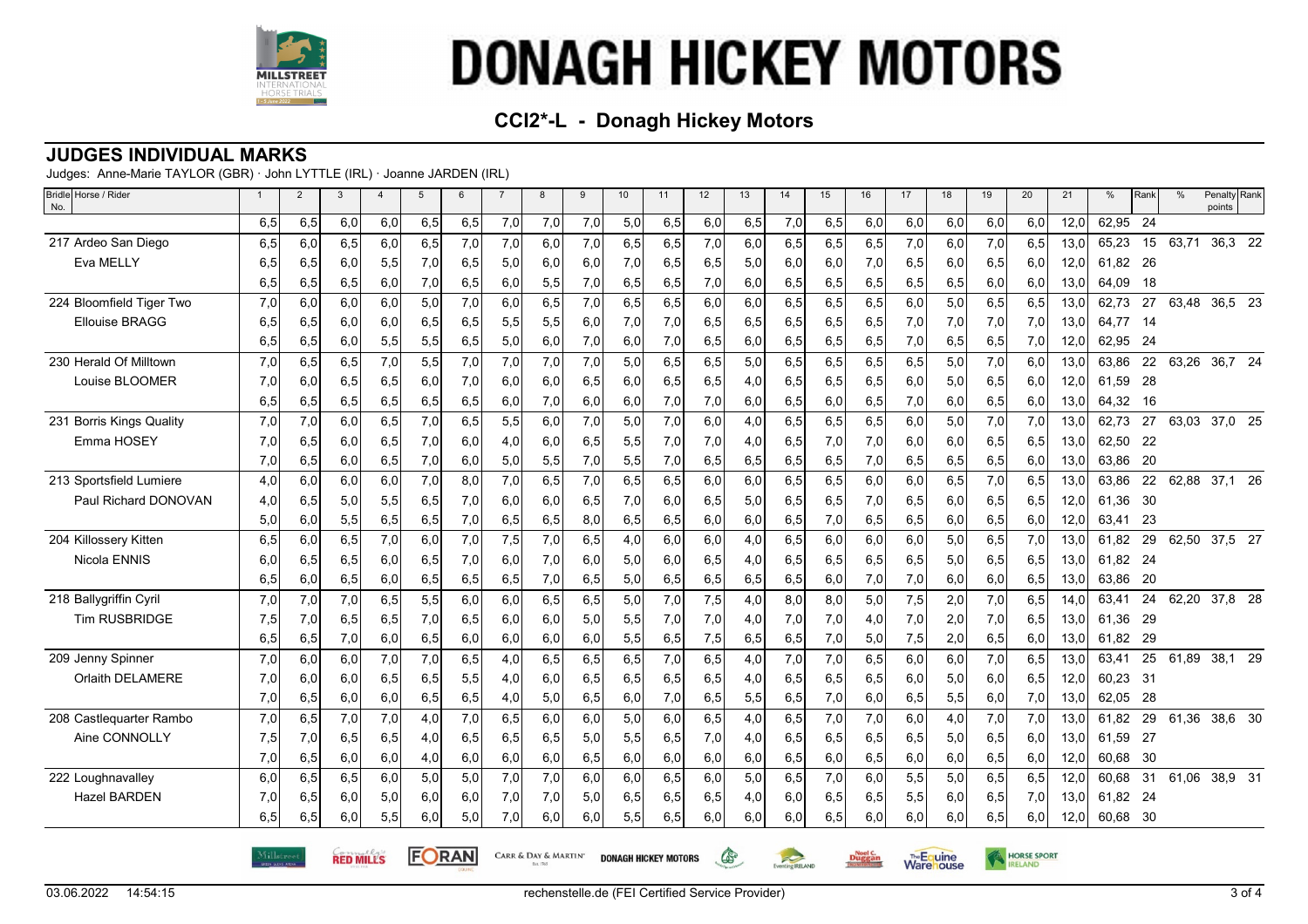

## **CCI2\*-L - Donagh Hickey Motors**

#### **JUDGES INDIVIDUAL MARKS**

Judges: Anne-Marie TAYLOR (GBR) · John LYTTLE (IRL) · Joanne JARDEN (IRL)

| Bridle Horse / Rider<br>No. | $\overline{1}$ | $\overline{2}$ | $\mathbf{3}$     | $\overline{4}$ | 5     | 6   | $\overline{7}$ | 8                                   | 9   | 10  | 11                          | 12  | 13  | 14              | 15  | 16     | 17  | 18                       | 19  | 20                 | 21   | $\%$     | Rank | $\frac{0}{0}$ | Penalty Rank<br>points |
|-----------------------------|----------------|----------------|------------------|----------------|-------|-----|----------------|-------------------------------------|-----|-----|-----------------------------|-----|-----|-----------------|-----|--------|-----|--------------------------|-----|--------------------|------|----------|------|---------------|------------------------|
|                             | 6,5            | 6,5            | 6,0              | 6,0            | 6,5   | 6,5 | 7,0            | 7,0                                 | 7,0 | 5,0 | 6,5                         | 6,0 | 6,5 | 7,0             | 6,5 | 6,0    | 6,0 | 6,0                      | 6,0 | 6,0                | 12,0 | 62,95    | 24   |               |                        |
| 217 Ardeo San Diego         | 6,5            | 6,0            | 6,5              | 6,0            | 6,5   | 7,0 | 7,0            | 6,0                                 | 7,0 | 6,5 | 6,5                         | 7,0 | 6,0 | 6,5             | 6,5 | 6,5    | 7,0 | 6,0                      | 7,0 | 6,5                | 13,0 | 65,23    | 15   | 63,71         | 36,3 22                |
| Eva MELLY                   | 6,5            | 6,5            | 6,0              | 5,5            | 7,0   | 6,5 | 5,0            | 6,0                                 | 6,0 | 7,0 | 6,5                         | 6,5 | 5,0 | 6.0             | 6,0 | 7,0    | 6,5 | 6,0                      | 6,5 | 6,0                | 12,0 | 61.82 26 |      |               |                        |
|                             | 6,5            | 6,5            | 6,5              | 6,0            | 7,0   | 6,5 | 6,0            | 5,5                                 | 7,0 | 6,5 | 6,5                         | 7,0 | 6,0 | 6,5             | 6,5 | 6,5    | 6,5 | 6,5                      | 6,0 | 6,0                | 13,0 | 64,09    | 18   |               |                        |
| 224 Bloomfield Tiger Two    | 7,0            | 6,0            | 6,0              | 6,0            | 5,0   | 7,0 | 6,0            | 6,5                                 | 7,0 | 6,5 | 6,5                         | 6,0 | 6,0 | 6,5             | 6,5 | 6,5    | 6,0 | 5,0                      | 6,5 | 6,5                | 13,0 | 62,73    | 27   | 63,48         | 36,5 23                |
| <b>Ellouise BRAGG</b>       | 6,5            | 6,5            | 6,0              | 6,0            | 6,5   | 6,5 | 5,5            | 5,5                                 | 6,0 | 7,0 | 7,0                         | 6,5 | 6,5 | 6,5             | 6,5 | 6,5    | 7,0 | 7,0                      | 7,0 | 7,0                | 13,0 | 64,77    | - 14 |               |                        |
|                             | 6,5            | 6,5            | 6,0              | 5,5            | 5,5   | 6,5 | 5,0            | 6,0                                 | 7,0 | 6,0 | 7,0                         | 6,5 | 6,0 | 6,5             | 6,5 | 6,5    | 7,0 | 6,5                      | 6,5 | 7,0                | 12,0 | 62,95    | -24  |               |                        |
| 230 Herald Of Milltown      | 7,0            | 6,5            | 6,5              | 7,0            | 5,5   | 7,0 | 7,0            | 7,0                                 | 7,0 | 5,0 | 6,5                         | 6,5 | 5,0 | 6,5             | 6,5 | 6,5    | 6,5 | 5,0                      | 7,0 | 6,0                | 13,0 | 63,86    | 22   | 63,26         | 36,7 24                |
| Louise BLOOMER              | 7,0            | 6,0            | 6,5              | 6,5            | 6,0   | 7,0 | 6,0            | 6,0                                 | 6,5 | 6,0 | 6,5                         | 6,5 | 4,0 | 6,5             | 6,5 | 6,5    | 6,0 | 5,0                      | 6,5 | 6,0                | 12,0 | 61,59    | -28  |               |                        |
|                             | 6,5            | 6,5            | 6,5              | 6,5            | 6,5   | 6,5 | 6,0            | 7,0                                 | 6,0 | 6,0 | 7,0                         | 7,0 | 6,0 | 6,5             | 6,0 | 6,5    | 7,0 | 6,0                      | 6,5 | 6,0                | 13,0 | 64,32    | - 16 |               |                        |
| 231 Borris Kings Quality    | 7,0            | 7,0            | 6,0              | 6,5            | 7,0   | 6,5 | 5,5            | 6,0                                 | 7,0 | 5,0 | 7,0                         | 6,0 | 4,0 | 6,5             | 6,5 | 6,5    | 6,0 | 5,0                      | 7,0 | 7,0                | 13,0 | 62,73    | 27   | 63,03         | 37,0 25                |
| Emma HOSEY                  | 7,0            | 6,5            | 6,0              | 6,5            | 7,0   | 6,0 | 4,0            | 6,0                                 | 6,5 | 5,5 | 7,0                         | 7,0 | 4,0 | 6,5             | 7,0 | 7,0    | 6,0 | 6,0                      | 6,5 | 6,5                | 13,0 | 62,50    | 22   |               |                        |
|                             | 7,0            | 6,5            | 6,0              | 6,5            | 7,0   | 6,0 | 5,0            | 5,5                                 | 7,0 | 5,5 | 7,0                         | 6,5 | 6,5 | 6,5             | 6,5 | 7,0    | 6,5 | 6,5                      | 6,5 | 6,0                | 13,0 | 63,86    | -20  |               |                        |
| 213 Sportsfield Lumiere     | 4,0            | 6,0            | 6,0              | 6,0            | 7,0   | 8,0 | 7,0            | 6,5                                 | 7,0 | 6,5 | 6,5                         | 6,0 | 6,0 | 6,5             | 6,5 | 6,0    | 6,0 | 6,5                      | 7,0 | 6,5                | 13,0 | 63,86    | 22   | 62,88         | 37,1 26                |
| Paul Richard DONOVAN        | 4,0            | 6,5            | 5,0              | 5,5            | 6,5   | 7,0 | 6,0            | 6,0                                 | 6,5 | 7,0 | 6,0                         | 6,5 | 5,0 | 6,5             | 6,5 | 7,0    | 6,5 | 6,0                      | 6,5 | 6,5                | 12,0 | 61,36    | - 30 |               |                        |
|                             | 5,0            | 6,0            | 5,5              | 6,5            | 6,5   | 7,0 | 6,5            | 6,5                                 | 8,0 | 6,5 | 6,5                         | 6,0 | 6,0 | 6,5             | 7,0 | 6,5    | 6,5 | 6,0                      | 6,5 | 6,0                | 12,0 | 63,41    | 23   |               |                        |
| 204 Killossery Kitten       | 6,5            | 6,0            | 6,5              | 7,0            | 6,0   | 7,0 | 7,5            | 7,0                                 | 6,5 | 4,0 | 6,0                         | 6,0 | 4,0 | 6,5             | 6,0 | 6,0    | 6,0 | 5,0                      | 6,5 | 7,0                | 13,0 | 61.82    | 29   |               | 62,50 37,5 27          |
| Nicola ENNIS                | 6,0            | 6,5            | 6,5              | 6,0            | 6,5   | 7,0 | 6,0            | 7,0                                 | 6,0 | 5,0 | 6,0                         | 6,5 | 4,0 | 6,5             | 6,5 | 6,5    | 6,5 | 5,0                      | 6,5 | 6,5                | 13,0 | 61,82 24 |      |               |                        |
|                             | 6,5            | 6,0            | 6,5              | 6,0            | 6,5   | 6,5 | 6,5            | 7,0                                 | 6,5 | 5,0 | 6,5                         | 6,5 | 6,5 | 6,5             | 6,0 | 7,0    | 7,0 | 6,0                      | 6,0 | 6,5                | 13,0 | 63,86    | -20  |               |                        |
| 218 Ballygriffin Cyril      | 7,0            | 7,0            | 7,0              | 6,5            | 5,5   | 6,0 | 6,0            | 6,5                                 | 6,5 | 5,0 | 7,0                         | 7,5 | 4,0 | 8,0             | 8,0 | 5,0    | 7,5 | 2,0                      | 7,0 | 6,5                | 14,0 | 63,41    | 24   |               | 62,20 37,8 28          |
| <b>Tim RUSBRIDGE</b>        | 7,5            | 7,0            | 6,5              | 6,5            | 7,0   | 6,5 | 6,0            | 6,0                                 | 5,0 | 5,5 | 7,0                         | 7,0 | 4,0 | 7,0             | 7,0 | 4,0    | 7,0 | 2,0                      | 7,0 | 6,5                | 13,0 | 61,36    | 29   |               |                        |
|                             | 6,5            | 6,5            | 7,0              | 6,0            | 6,5   | 6,0 | 6,0            | 6,0                                 | 6,0 | 5,5 | 6,5                         | 7,5 | 6,5 | 6,5             | 7,0 | 5,0    | 7,5 | 2,0                      | 6,5 | 6,0                | 13,0 | 61,82    | 29   |               |                        |
| 209 Jenny Spinner           | 7,0            | 6,0            | 6,0              | 7,0            | 7,0   | 6,5 | 4,0            | 6,5                                 | 6,5 | 6,5 | 7,0                         | 6,5 | 4,0 | 7,0             | 7,0 | 6,5    | 6,0 | 6,0                      | 7,0 | 6,5                | 13,0 | 63.41    | 25   | 61.89         | 38,1 29                |
| Orlaith DELAMERE            | 7,0            | 6,0            | 6,0              | 6,5            | 6,5   | 5,5 | 4,0            | 6,0                                 | 6,5 | 6,5 | 6,5                         | 6,5 | 4,0 | 6,5             | 6,5 | 6,5    | 6,0 | 5,0                      | 6,0 | 6,5                | 12,0 | 60,23    | - 31 |               |                        |
|                             | 7,0            | 6,5            | 6,0              | 6,0            | 6,5   | 6,5 | 4,0            | 5,0                                 | 6,5 | 6,0 | 7,0                         | 6,5 | 5,5 | 6,5             | 7,0 | 6,0    | 6,5 | 5,5                      | 6,0 | 7,0                | 13,0 | 62,05    | 28   |               |                        |
| 208 Castlequarter Rambo     | 7,0            | 6,5            | 7,0              | 7,0            | 4,0   | 7,0 | 6,5            | 6,0                                 | 6,0 | 5,0 | 6,0                         | 6,5 | 4,0 | 6,5             | 7,0 | 7,0    | 6,0 | 4,0                      | 7,0 | 7,0                | 13,0 | 61,82    | 29   | 61,36         | 38,6 30                |
| Aine CONNOLLY               | 7,5            | 7,0            | 6,5              | 6,5            | 4,0   | 6,5 | 6,5            | 6,5                                 | 5,0 | 5,5 | 6,5                         | 7,0 | 4,0 | 6,5             | 6,5 | 6,5    | 6,5 | 5,0                      | 6,5 | 6,0                | 13,0 | 61,59    | - 27 |               |                        |
|                             | 7,0            | 6,5            | 6,0              | 6,0            | 4,0   | 6,0 | 6,0            | 6,0                                 | 6,5 | 6,0 | 6,0                         | 6,0 | 6,0 | 6,5             | 6,0 | 6,5    | 6,0 | 6,0                      | 6,5 | 6,0                | 12,0 | 60,68    | - 30 |               |                        |
| 222 Loughnavalley           | 6,0            | 6,5            | 6,5              | 6,0            | 5,0   | 5,0 | 7,0            | 7,0                                 | 6,0 | 6,0 | 6,5                         | 6,0 | 5,0 | 6,5             | 7,0 | 6,0    | 5,5 | 5,0                      | 6,5 | 6,5                | 12,0 | 60,68    | 31   | 61,06         | 38,9 31                |
| <b>Hazel BARDEN</b>         | 7,0            | 6,5            | 6,0              | 5,0            | 6,0   | 6,0 | 7,0            | 7,0                                 | 5,0 | 6,5 | 6,5                         | 6,5 | 4,0 | 6,0             | 6,5 | 6,5    | 5,5 | 6,0                      | 6,5 | 7,0                | 13,0 | 61,82 24 |      |               |                        |
|                             | 6,5            | 6,5            | 6,0              | 5,5            | 6,0   | 5,0 | 7,0            | 6,0                                 | 6,0 | 5,5 | 6,5                         | 6,0 | 6,0 | 6,0             | 6,5 | 6,0    | 6,0 | 6,0                      | 6,5 | 6,0                | 12,0 | 60,68 30 |      |               |                        |
|                             | Millstreet     |                | <b>RED MILLS</b> |                | FORAN |     |                | <b>CARR &amp; DAY &amp; MARTIN'</b> |     |     | <b>DONAGH HICKEY MOTORS</b> |     | G   | Eventing RELAND |     | Duggan |     | The Equine<br>Ware louse |     | <b>HORSE SPORT</b> |      |          |      |               |                        |